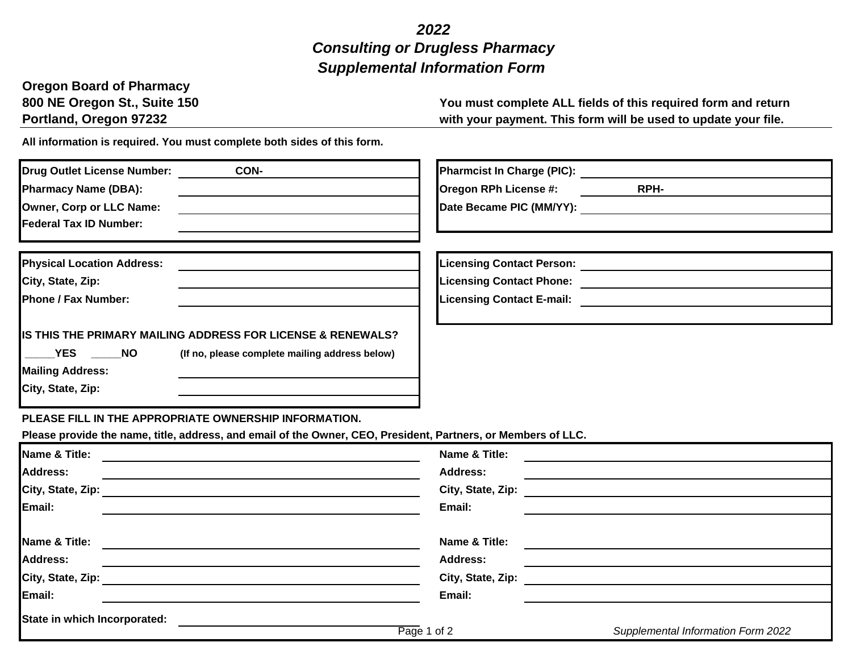## *2022 Supplemental Information Form Consulting or Drugless Pharmacy*

## **Oregon Board of Pharmacy**

**800 NE Oregon St., Suite 150 You must complete ALL fields of this required form and return**  with your payment. This form will be used to update your file.

**All information is required. You must complete both sides of this form.** 

| <b>Drug Outlet License Number:</b><br>CON-                                                                                                                                                    | Pharmcist In Charge (PIC): <u>______________</u>                                                                                      |
|-----------------------------------------------------------------------------------------------------------------------------------------------------------------------------------------------|---------------------------------------------------------------------------------------------------------------------------------------|
| <b>Pharmacy Name (DBA):</b>                                                                                                                                                                   | RPH-<br>Oregon RPh License #:                                                                                                         |
| Owner, Corp or LLC Name:                                                                                                                                                                      |                                                                                                                                       |
| <b>Federal Tax ID Number:</b>                                                                                                                                                                 |                                                                                                                                       |
|                                                                                                                                                                                               |                                                                                                                                       |
| <b>Physical Location Address:</b>                                                                                                                                                             | Licensing Contact Person: ___________________________________                                                                         |
| City, State, Zip:                                                                                                                                                                             |                                                                                                                                       |
| <b>Phone / Fax Number:</b>                                                                                                                                                                    |                                                                                                                                       |
| IS THIS THE PRIMARY MAILING ADDRESS FOR LICENSE & RENEWALS?<br><b>EXECUTE:</b><br><b>NO</b><br>(If no, please complete mailing address below)<br><b>Mailing Address:</b><br>City, State, Zip: |                                                                                                                                       |
| PLEASE FILL IN THE APPROPRIATE OWNERSHIP INFORMATION.<br>Please provide the name, title, address, and email of the Owner, CEO, President, Partners, or Members of LLC.                        |                                                                                                                                       |
| Name & Title:<br><u> 1989 - Johann Barbara, martxa eta politikaria (h. 1989).</u>                                                                                                             | Name & Title:<br><u> 1980 - Jan Stein Stein Stein Stein Stein Stein Stein Stein Stein Stein Stein Stein Stein Stein Stein Stein S</u> |
| <b>Address:</b><br><u> 1989 - Andrea Brand, Amerikaansk politiker († 1908)</u>                                                                                                                | <b>Address:</b>                                                                                                                       |
|                                                                                                                                                                                               | City, State, Zip:<br><u> 1980 - Andrea State Barbara, poeta esperanto-</u>                                                            |
| Email:<br><u> 1980 - Johann Barn, fransk politik (d. 1980)</u>                                                                                                                                | Email:                                                                                                                                |
| Name & Title:<br><u> 1980 - Johann Stein, marwolaethau a bhann an t-Amhair an t-Amhair an t-Amhair an t-Amhair an t-Amhair an t-A</u>                                                         | Name & Title:                                                                                                                         |
| <b>Address:</b><br><u> 1989 - Johann Stoff, amerikansk politiker (d. 1989)</u>                                                                                                                | <b>Address:</b><br><u> 1980 - Johann Barnett, fransk politiker (d. 1980)</u>                                                          |
|                                                                                                                                                                                               | City, State, Zip: 2008. 2009. 2009. 2009. 2012. 2013. 2014. 2015. 2016. 2017. 2018. 2019. 2016. 2017. 2018. 20                        |
| Email:                                                                                                                                                                                        | Email:                                                                                                                                |
| State in which Incorporated:                                                                                                                                                                  | Page 1 of 2<br>Supplemental Information Form 2022                                                                                     |